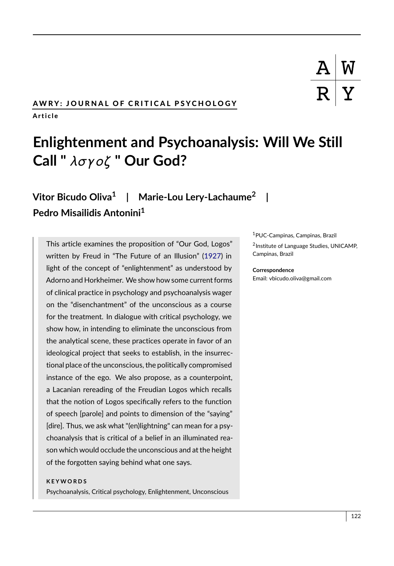## AWRY: JOURNAL OF CRITICAL PSYCHOLOGY A r t i c l e

# **Enlightenment and Psychoanalysis: Will We Still Call "** λσγoζ **" Our God?**

## **Vitor Bicudo Oliva<sup>1</sup> | Marie-Lou Lery-Lachaume<sup>2</sup> | Pedro Misailidis Antonini<sup>1</sup>**

This article examines the proposition of "Our God, Logos" written by Freud in "The Future of an Illusion" [\(1927\)](#page-11-0) in light of the concept of "enlightenment" as understood by Adorno and Horkheimer. We show how some current forms of clinical practice in psychology and psychoanalysis wager on the "disenchantment" of the unconscious as a course for the treatment. In dialogue with critical psychology, we show how, in intending to eliminate the unconscious from the analytical scene, these practices operate in favor of an ideological project that seeks to establish, in the insurrectional place of the unconscious, the politically compromised instance of the ego. We also propose, as a counterpoint, a Lacanian rereading of the Freudian Logos which recalls that the notion of Logos specifically refers to the function of speech [parole] and points to dimension of the "saying" [dire]. Thus, we ask what "(en)lightning" can mean for a psychoanalysis that is critical of a belief in an illuminated reason which would occlude the unconscious and at the height of the forgotten saying behind what one says.

#### **K E Y W O R D S**

Psychoanalysis, Critical psychology, Enlightenment, Unconscious

<sup>1</sup>PUC-Campinas, Campinas, Brazil

2 Institute of Language Studies, UNICAMP, Campinas, Brazil

#### **Correspondence**

Email: vbicudo.oliva@gmail.com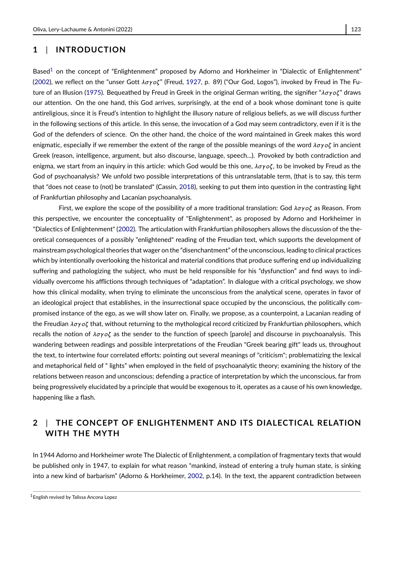Based<sup>[1](#page-1-0)</sup> on the concept of "Enlightenment" proposed by Adorno and Horkheimer in "Dialectic of Enlightenment" [\(2002\)](#page-11-1), we reflect on the "unser Gott  $\lambda \sigma \gamma o \zeta$ " (Freud, [1927,](#page-11-0) p. 89) ("Our God, Logos"), invoked by Freud in The Fu-ture of an Illusion [\(1975\)](#page-11-2). Bequeathed by Freud in Greek in the original German writing, the signifier "λσγοζ" draws our attention. On the one hand, this God arrives, surprisingly, at the end of a book whose dominant tone is quite antireligious, since it is Freud's intention to highlight the illusory nature of religious beliefs, as we will discuss further in the following sections of this article. In this sense, the invocation of a God may seem contradictory, even if it is the God of the defenders of science. On the other hand, the choice of the word maintained in Greek makes this word enigmatic, especially if we remember the extent of the range of the possible meanings of the word  $\lambda\sigma\gamma o\zeta$  in ancient Greek (reason, intelligence, argument, but also discourse, language, speech...). Provoked by both contradiction and enigma, we start from an inquiry in this article: which God would be this one,  $\lambda\sigma\gamma\sigma\zeta$ , to be invoked by Freud as the God of psychoanalysis? We unfold two possible interpretations of this untranslatable term, (that is to say, this term that "does not cease to (not) be translated" (Cassin, [2018\)](#page-11-3), seeking to put them into question in the contrasting light of Frankfurtian philosophy and Lacanian psychoanalysis.

First, we explore the scope of the possibility of a more traditional translation: God  $\lambda\sigma\gamma o\zeta$  as Reason. From this perspective, we encounter the conceptuality of "Enlightenment", as proposed by Adorno and Horkheimer in "Dialectics of Enlightenment" [\(2002\)](#page-11-1). The articulation with Frankfurtian philosophers allows the discussion of the theoretical consequences of a possibly "enlightened" reading of the Freudian text, which supports the development of mainstream psychological theories that wager on the "disenchantment" of the unconscious, leading to clinical practices which by intentionally overlooking the historical and material conditions that produce suffering end up individualizing suffering and pathologizing the subject, who must be held responsible for his "dysfunction" and find ways to individually overcome his afflictions through techniques of "adaptation". In dialogue with a critical psychology, we show how this clinical modality, when trying to eliminate the unconscious from the analytical scene, operates in favor of an ideological project that establishes, in the insurrectional space occupied by the unconscious, the politically compromised instance of the ego, as we will show later on. Finally, we propose, as a counterpoint, a Lacanian reading of the Freudian  $\lambda \sigma \gamma o \zeta$  that, without returning to the mythological record criticized by Frankfurtian philosophers, which recalls the notion of  $\lambda \sigma y \sigma \zeta$  as the sender to the function of speech [parole] and discourse in psychoanalysis. This wandering between readings and possible interpretations of the Freudian "Greek bearing gift" leads us, throughout the text, to intertwine four correlated efforts: pointing out several meanings of "criticism"; problematizing the lexical and metaphorical field of " lights" when employed in the field of psychoanalytic theory; examining the history of the relations between reason and unconscious; defending a practice of interpretation by which the unconscious, far from being progressively elucidated by a principle that would be exogenous to it, operates as a cause of his own knowledge, happening like a flash.

## **2** | **THE CONCEPT OF ENLIGHTENMENT AND ITS DIALECTICAL RELATION WITH THE MYTH**

In 1944 Adorno and Horkheimer wrote The Dialectic of Enlightenment, a compilation of fragmentary texts that would be published only in 1947, to explain for what reason "mankind, instead of entering a truly human state, is sinking into a new kind of barbarism" (Adorno & Horkheimer, [2002,](#page-11-1) p.14). In the text, the apparent contradiction between

<span id="page-1-0"></span><sup>1</sup>English revised by Talissa Ancona Lopez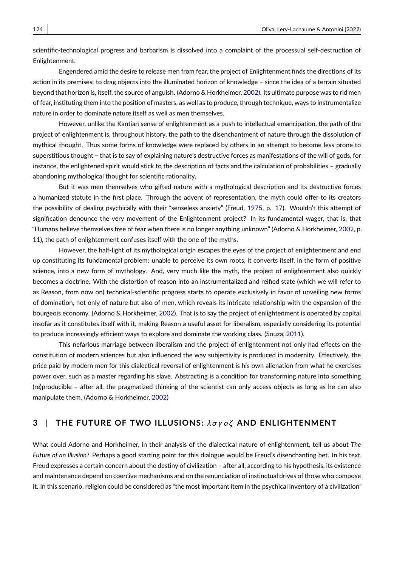scientific-technological progress and barbarism is dissolved into a complaint of the processual self-destruction of Enlightenment.

Engendered amid the desire to release men from fear, the project of Enlightenment finds the directions of its action in its premises: to drag objects into the illuminated horizon of knowledge – since the idea of a terrain situated beyond that horizon is, itself, the source of anguish. (Adorno & Horkheimer, [2002\)](#page-11-1). Its ultimate purpose was to rid men of fear, instituting them into the position of masters, as well as to produce, through technique, ways to instrumentalize nature in order to dominate nature itself as well as men themselves.

However, unlike the Kantian sense of enlightenment as a push to intellectual emancipation, the path of the project of enlightenment is, throughout history, the path to the disenchantment of nature through the dissolution of mythical thought. Thus some forms of knowledge were replaced by others in an attempt to become less prone to superstitious thought – that is to say of explaining nature's destructive forces as manifestations of the will of gods, for instance, the enlightened spirit would stick to the description of facts and the calculation of probabilities – gradually abandoning mythological thought for scientific rationality.

But it was men themselves who gifted nature with a mythological description and its destructive forces a humanized statute in the first place. Through the advent of representation, the myth could offer to its creators the possibility of dealing psychically with their "senseless anxiety" (Freud, [1975,](#page-11-2) p. 17). Wouldn't this attempt of signification denounce the very movement of the Enlightenment project? In its fundamental wager, that is, that "Humans believe themselves free of fear when there is no longer anything unknown" (Adorno & Horkheimer, [2002,](#page-11-1) p. 11), the path of enlightenment confuses itself with the one of the myths.

However, the half-light of its mythological origin escapes the eyes of the project of enlightenment and end up constituting its fundamental problem: unable to perceive its own roots, it converts itself, in the form of positive science, into a new form of mythology. And, very much like the myth, the project of enlightenment also quickly becomes a doctrine. With the distortion of reason into an instrumentalized and reified state (which we will refer to as Reason, from now on) technical-scientific progress starts to operate exclusively in favor of unveiling new forms of domination, not only of nature but also of men, which reveals its intricate relationship with the expansion of the bourgeois economy. (Adorno & Horkheimer, [2002\)](#page-11-1). That is to say the project of enlightenment is operated by capital insofar as it constitutes itself with it, making Reason a useful asset for liberalism, especially considering its potential to produce increasingly efficient ways to explore and dominate the working class. (Souza, [2011\)](#page-12-0).

This nefarious marriage between liberalism and the project of enlightenment not only had effects on the constitution of modern sciences but also influenced the way subjectivity is produced in modernity. Effectively, the price paid by modern men for this dialectical reversal of enlightenment is his own alienation from what he exercises power over, such as a master regarding his slave. Abstracting is a condition for transforming nature into something (re)producible – after all, the pragmatized thinking of the scientist can only access objects as long as he can also manipulate them. (Adorno & Horkheimer, [2002\)](#page-11-1)

## **3** | **THE FUTURE OF TWO ILLUSIONS:** λ σ γ o ζ **AND ENLIGHTENMENT**

What could Adorno and Horkheimer, in their analysis of the dialectical nature of enlightenment, tell us about *The Future of an Illusion*? Perhaps a good starting point for this dialogue would be Freud's disenchanting bet. In his text, Freud expresses a certain concern about the destiny of civilization – after all, according to his hypothesis, its existence and maintenance depend on coercive mechanisms and on the renunciation of instinctual drives of those who compose it. In this scenario, religion could be considered as "the most important item in the psychical inventory of a civilization"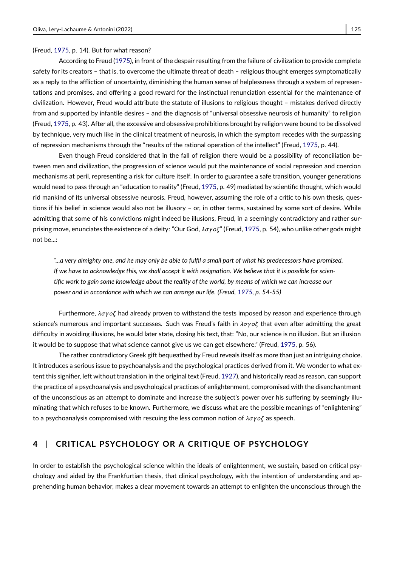(Freud, [1975,](#page-11-2) p. 14). But for what reason?

According to Freud [\(1975\)](#page-11-2), in front of the despair resulting from the failure of civilization to provide complete safety for its creators – that is, to overcome the ultimate threat of death – religious thought emerges symptomatically as a reply to the affliction of uncertainty, diminishing the human sense of helplessness through a system of representations and promises, and offering a good reward for the instinctual renunciation essential for the maintenance of civilization. However, Freud would attribute the statute of illusions to religious thought – mistakes derived directly from and supported by infantile desires – and the diagnosis of "universal obsessive neurosis of humanity" to religion (Freud, [1975,](#page-11-2) p. 43). After all, the excessive and obsessive prohibitions brought by religion were bound to be dissolved by technique, very much like in the clinical treatment of neurosis, in which the symptom recedes with the surpassing of repression mechanisms through the "results of the rational operation of the intellect" (Freud, [1975,](#page-11-2) p. 44).

Even though Freud considered that in the fall of religion there would be a possibility of reconciliation between men and civilization, the progression of science would put the maintenance of social repression and coercion mechanisms at peril, representing a risk for culture itself. In order to guarantee a safe transition, younger generations would need to pass through an "education to reality" (Freud, [1975,](#page-11-2) p. 49) mediated by scientific thought, which would rid mankind of its universal obsessive neurosis. Freud, however, assuming the role of a critic to his own thesis, questions if his belief in science would also not be illusory – or, in other terms, sustained by some sort of desire. While admitting that some of his convictions might indeed be illusions, Freud, in a seemingly contradictory and rather surprising move, enunciates the existence of a deity: "Our God,  $\lambda \sigma \gamma o \zeta$ " (Freud, [1975,](#page-11-2) p. 54), who unlike other gods might not be...:

*"...a very almighty one, and he may only be able to fulfil a small part of what his predecessors have promised. If we have to acknowledge this, we shall accept it with resignation. We believe that it is possible for scientific work to gain some knowledge about the reality of the world, by means of which we can increase our power and in accordance with which we can arrange our life. (Freud, [1975,](#page-11-2) p. 54-55)*

Furthermore,  $\lambda \sigma y \sigma \zeta$  had already proven to withstand the tests imposed by reason and experience through science's numerous and important successes. Such was Freud's faith in  $\lambda \sigma \gamma o \zeta$  that even after admitting the great difficulty in avoiding illusions, he would later state, closing his text, that: "No, our science is no illusion. But an illusion it would be to suppose that what science cannot give us we can get elsewhere." (Freud, [1975,](#page-11-2) p. 56).

The rather contradictory Greek gift bequeathed by Freud reveals itself as more than just an intriguing choice. It introduces a serious issue to psychoanalysis and the psychological practices derived from it. We wonder to what extent this signifier, left without translation in the original text (Freud, [1927\)](#page-11-0), and historically read as reason, can support the practice of a psychoanalysis and psychological practices of enlightenment, compromised with the disenchantment of the unconscious as an attempt to dominate and increase the subject's power over his suffering by seemingly illuminating that which refuses to be known. Furthermore, we discuss what are the possible meanings of "enlightening" to a psychoanalysis compromised with rescuing the less common notion of  $\lambda \sigma y \sigma \zeta$  as speech.

## **4** | **CRITICAL PSYCHOLOGY OR A CRITIQUE OF PSYCHOLOGY**

In order to establish the psychological science within the ideals of enlightenment, we sustain, based on critical psychology and aided by the Frankfurtian thesis, that clinical psychology, with the intention of understanding and apprehending human behavior, makes a clear movement towards an attempt to enlighten the unconscious through the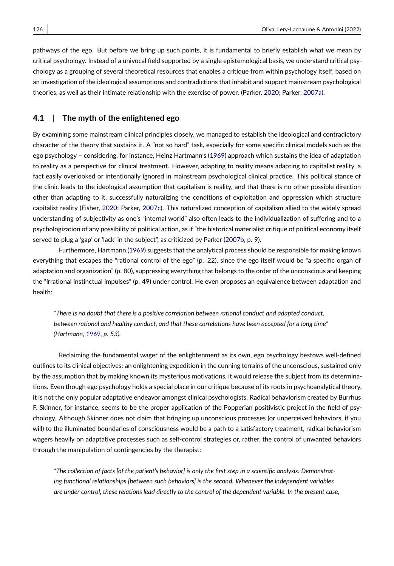pathways of the ego. But before we bring up such points, it is fundamental to briefly establish what we mean by critical psychology. Instead of a univocal field supported by a single epistemological basis, we understand critical psychology as a grouping of several theoretical resources that enables a critique from within psychology itself, based on an investigation of the ideological assumptions and contradictions that inhabit and support mainstream psychological theories, as well as their intimate relationship with the exercise of power. (Parker, [2020;](#page-12-1) Parker, [2007a\)](#page-12-2).

#### **4.1** | **The myth of the enlightened ego**

By examining some mainstream clinical principles closely, we managed to establish the ideological and contradictory character of the theory that sustains it. A "not so hard" task, especially for some specific clinical models such as the ego psychology – considering, for instance, Heinz Hartmann's [\(1969\)](#page-11-4) approach which sustains the idea of adaptation to reality as a perspective for clinical treatment. However, adapting to reality means adapting to capitalist reality, a fact easily overlooked or intentionally ignored in mainstream psychological clinical practice. This political stance of the clinic leads to the ideological assumption that capitalism is reality, and that there is no other possible direction other than adapting to it, successfully naturalizing the conditions of exploitation and oppression which structure capitalist reality (Fisher, [2020;](#page-11-5) Parker, [2007c\)](#page-12-3). This naturalized conception of capitalism allied to the widely spread understanding of subjectivity as one's "internal world" also often leads to the individualization of suffering and to a psychologization of any possibility of political action, as if "the historical materialist critique of political economy itself served to plug a 'gap' or 'lack' in the subject", as criticized by Parker [\(2007b,](#page-12-4) p. 9).

Furthermore, Hartmann [\(1969\)](#page-11-4) suggests that the analytical process should be responsible for making known everything that escapes the "rational control of the ego" (p. 22), since the ego itself would be "a specific organ of adaptation and organization" (p. 80), suppressing everything that belongs to the order of the unconscious and keeping the "irrational instinctual impulses" (p. 49) under control. He even proposes an equivalence between adaptation and health:

*"There is no doubt that there is a positive correlation between rational conduct and adapted conduct, between rational and healthy conduct, and that these correlations have been accepted for a long time" (Hartmann, [1969,](#page-11-4) p. 53).*

Reclaiming the fundamental wager of the enlightenment as its own, ego psychology bestows well-defined outlines to its clinical objectives: an enlightening expedition in the cunning terrains of the unconscious, sustained only by the assumption that by making known its mysterious motivations, it would release the subject from its determinations. Even though ego psychology holds a special place in our critique because of its roots in psychoanalytical theory, it is not the only popular adaptative endeavor amongst clinical psychologists. Radical behaviorism created by Burrhus F. Skinner, for instance, seems to be the proper application of the Popperian positivistic project in the field of psychology. Although Skinner does not claim that bringing up unconscious processes (or unperceived behaviors, if you will) to the illuminated boundaries of consciousness would be a path to a satisfactory treatment, radical behaviorism wagers heavily on adaptative processes such as self-control strategies or, rather, the control of unwanted behaviors through the manipulation of contingencies by the therapist:

*"The collection of facts [of the patient's behavior] is only the first step in a scientific analysis. Demonstrating functional relationships [between such behaviors] is the second. Whenever the independent variables are under control, these relations lead directly to the control of the dependent variable. In the present case,*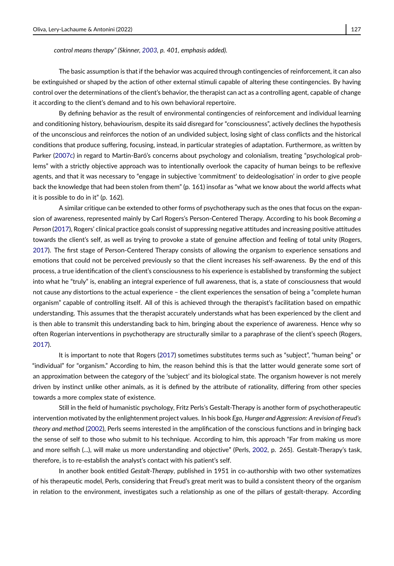*control means therapy" (Skinner, [2003,](#page-12-5) p. 401, emphasis added).*

The basic assumption is that if the behavior was acquired through contingencies of reinforcement, it can also be extinguished or shaped by the action of other external stimuli capable of altering these contingencies. By having control over the determinations of the client's behavior, the therapist can act as a controlling agent, capable of change it according to the client's demand and to his own behavioral repertoire.

By defining behavior as the result of environmental contingencies of reinforcement and individual learning and conditioning history, behaviourism, despite its said disregard for "consciousness", actively declines the hypothesis of the unconscious and reinforces the notion of an undivided subject, losing sight of class conflicts and the historical conditions that produce suffering, focusing, instead, in particular strategies of adaptation. Furthermore, as written by Parker [\(2007c\)](#page-12-3) in regard to Martin-Baró's concerns about psychology and colonialism, treating "psychological problems" with a strictly objective approach was to intentionally overlook the capacity of human beings to be reflexive agents, and that it was necessary to "engage in subjective 'commitment' to deideologisation' in order to give people back the knowledge that had been stolen from them" (p. 161) insofar as "what we know about the world affects what it is possible to do in it" (p. 162).

A similar critique can be extended to other forms of psychotherapy such as the ones that focus on the expansion of awareness, represented mainly by Carl Rogers's Person-Centered Therapy. According to his book *Becoming a Person* [\(2017\)](#page-12-6), Rogers' clinical practice goals consist of suppressing negative attitudes and increasing positive attitudes towards the client's self, as well as trying to provoke a state of genuine affection and feeling of total unity (Rogers, [2017\)](#page-12-6). The first stage of Person-Centered Therapy consists of allowing the organism to experience sensations and emotions that could not be perceived previously so that the client increases his self-awareness. By the end of this process, a true identification of the client's consciousness to his experience is established by transforming the subject into what he "truly" is, enabling an integral experience of full awareness, that is, a state of consciousness that would not cause any distortions to the actual experience – the client experiences the sensation of being a "complete human organism" capable of controlling itself. All of this is achieved through the therapist's facilitation based on empathic understanding. This assumes that the therapist accurately understands what has been experienced by the client and is then able to transmit this understanding back to him, bringing about the experience of awareness. Hence why so often Rogerian interventions in psychotherapy are structurally similar to a paraphrase of the client's speech (Rogers, [2017\)](#page-12-6).

It is important to note that Rogers [\(2017\)](#page-12-6) sometimes substitutes terms such as "subject", "human being" or "individual" for "organism." According to him, the reason behind this is that the latter would generate some sort of an approximation between the category of the 'subject' and its biological state. The organism however is not merely driven by instinct unlike other animals, as it is defined by the attribute of rationality, differing from other species towards a more complex state of existence.

Still in the field of humanistic psychology, Fritz Perls's Gestalt-Therapy is another form of psychotherapeutic intervention motivated by the enlightenment project values. In his book *Ego, Hunger and Aggression: A revision of Freud's theory and method* [\(2002\)](#page-12-7), Perls seems interested in the amplification of the conscious functions and in bringing back the sense of self to those who submit to his technique. According to him, this approach "Far from making us more and more selfish (...), will make us more understanding and objective" (Perls, [2002,](#page-12-7) p. 265). Gestalt-Therapy's task, therefore, is to re-establish the analyst's contact with his patient's self.

In another book entitled *Gestalt-Therapy*, published in 1951 in co-authorship with two other systematizes of his therapeutic model, Perls, considering that Freud's great merit was to build a consistent theory of the organism in relation to the environment, investigates such a relationship as one of the pillars of gestalt-therapy. According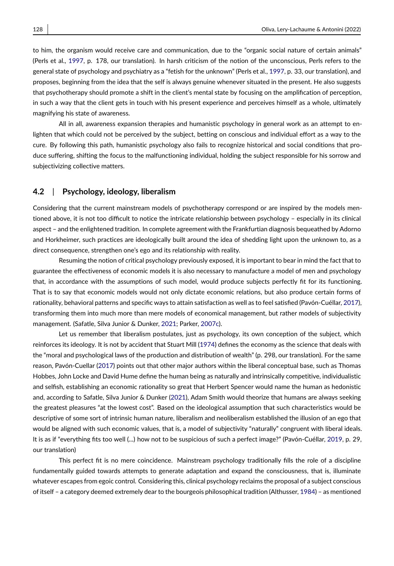to him, the organism would receive care and communication, due to the "organic social nature of certain animals" (Perls et al., [1997,](#page-12-8) p. 178, our translation). In harsh criticism of the notion of the unconscious, Perls refers to the general state of psychology and psychiatry as a "fetish for the unknown" (Perls et al., [1997,](#page-12-8) p. 33, our translation), and proposes, beginning from the idea that the self is always genuine whenever situated in the present. He also suggests that psychotherapy should promote a shift in the client's mental state by focusing on the amplification of perception, in such a way that the client gets in touch with his present experience and perceives himself as a whole, ultimately magnifying his state of awareness.

All in all, awareness expansion therapies and humanistic psychology in general work as an attempt to enlighten that which could not be perceived by the subject, betting on conscious and individual effort as a way to the cure. By following this path, humanistic psychology also fails to recognize historical and social conditions that produce suffering, shifting the focus to the malfunctioning individual, holding the subject responsible for his sorrow and subjectivizing collective matters.

#### **4.2** | **Psychology, ideology, liberalism**

Considering that the current mainstream models of psychotherapy correspond or are inspired by the models mentioned above, it is not too difficult to notice the intricate relationship between psychology – especially in its clinical aspect – and the enlightened tradition. In complete agreement with the Frankfurtian diagnosis bequeathed by Adorno and Horkheimer, such practices are ideologically built around the idea of shedding light upon the unknown to, as a direct consequence, strengthen one's ego and its relationship with reality.

Resuming the notion of critical psychology previously exposed, it is important to bear in mind the fact that to guarantee the effectiveness of economic models it is also necessary to manufacture a model of men and psychology that, in accordance with the assumptions of such model, would produce subjects perfectly fit for its functioning. That is to say that economic models would not only dictate economic relations, but also produce certain forms of rationality, behavioral patterns and specific ways to attain satisfaction as well as to feel satisfied (Pavón-Cuéllar, [2017\)](#page-12-9), transforming them into much more than mere models of economical management, but rather models of subjectivity management. (Safatle, Silva Junior & Dunker, [2021;](#page-12-10) Parker, [2007c\)](#page-12-3).

Let us remember that liberalism postulates, just as psychology, its own conception of the subject, which reinforces its ideology. It is not by accident that Stuart Mill [\(1974\)](#page-12-11) defines the economy as the science that deals with the "moral and psychological laws of the production and distribution of wealth" (p. 298, our translation). For the same reason, Pavón-Cuellar [\(2017\)](#page-12-9) points out that other major authors within the liberal conceptual base, such as Thomas Hobbes, John Locke and David Hume define the human being as naturally and intrinsically competitive, individualistic and selfish, establishing an economic rationality so great that Herbert Spencer would name the human as hedonistic and, according to Safatle, Silva Junior & Dunker [\(2021\)](#page-12-10), Adam Smith would theorize that humans are always seeking the greatest pleasures "at the lowest cost". Based on the ideological assumption that such characteristics would be descriptive of some sort of intrinsic human nature, liberalism and neoliberalism established the illusion of an ego that would be aligned with such economic values, that is, a model of subjectivity "naturally" congruent with liberal ideals. It is as if "everything fits too well (...) how not to be suspicious of such a perfect image?" (Pavón-Cuéllar, [2019,](#page-12-12) p. 29, our translation)

This perfect fit is no mere coincidence. Mainstream psychology traditionally fills the role of a discipline fundamentally guided towards attempts to generate adaptation and expand the consciousness, that is, illuminate whatever escapes from egoic control. Considering this, clinical psychology reclaims the proposal of a subject conscious of itself – a category deemed extremely dear to the bourgeois philosophical tradition (Althusser, [1984\)](#page-11-6) – as mentioned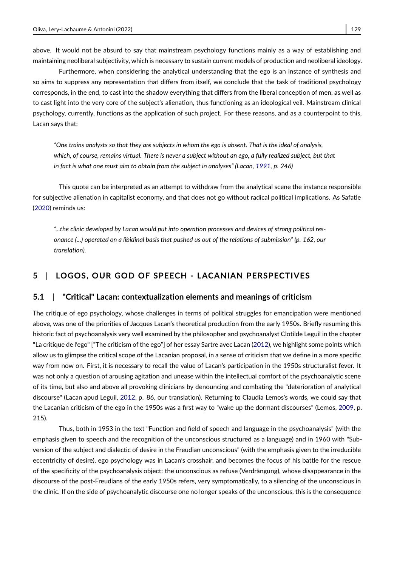above. It would not be absurd to say that mainstream psychology functions mainly as a way of establishing and maintaining neoliberal subjectivity, which is necessary to sustain current models of production and neoliberal ideology.

Furthermore, when considering the analytical understanding that the ego is an instance of synthesis and so aims to suppress any representation that differs from itself, we conclude that the task of traditional psychology corresponds, in the end, to cast into the shadow everything that differs from the liberal conception of men, as well as to cast light into the very core of the subject's alienation, thus functioning as an ideological veil. Mainstream clinical psychology, currently, functions as the application of such project. For these reasons, and as a counterpoint to this, Lacan says that:

*"One trains analysts so that they are subjects in whom the ego is absent. That is the ideal of analysis, which, of course, remains virtual. There is never a subject without an ego, a fully realized subject, but that in fact is what one must aim to obtain from the subject in analyses" (Lacan, [1991,](#page-12-13) p. 246)*

This quote can be interpreted as an attempt to withdraw from the analytical scene the instance responsible for subjective alienation in capitalist economy, and that does not go without radical political implications. As Safatle [\(2020\)](#page-12-14) reminds us:

*"...the clinic developed by Lacan would put into operation processes and devices of strong political resonance (...) operated on a libidinal basis that pushed us out of the relations of submission" (p. 162, our translation).*

## **5** | **LOGOS, OUR GOD OF SPEECH - LACANIAN PERSPECTIVES**

#### **5.1** | **"Critical" Lacan: contextualization elements and meanings of criticism**

The critique of ego psychology, whose challenges in terms of political struggles for emancipation were mentioned above, was one of the priorities of Jacques Lacan's theoretical production from the early 1950s. Briefly resuming this historic fact of psychoanalysis very well examined by the philosopher and psychoanalyst Clotilde Leguil in the chapter "La critique de l'ego" ["The criticism of the ego"] of her essay Sartre avec Lacan [\(2012\)](#page-12-15), we highlight some points which allow us to glimpse the critical scope of the Lacanian proposal, in a sense of criticism that we define in a more specific way from now on. First, it is necessary to recall the value of Lacan's participation in the 1950s structuralist fever. It was not only a question of arousing agitation and unease within the intellectual comfort of the psychoanalytic scene of its time, but also and above all provoking clinicians by denouncing and combating the "deterioration of analytical discourse" (Lacan apud Leguil, [2012,](#page-12-15) p. 86, our translation). Returning to Claudia Lemos's words, we could say that the Lacanian criticism of the ego in the 1950s was a first way to "wake up the dormant discourses" (Lemos, [2009,](#page-12-16) p. 215).

Thus, both in 1953 in the text "Function and field of speech and language in the psychoanalysis" (with the emphasis given to speech and the recognition of the unconscious structured as a language) and in 1960 with "Subversion of the subject and dialectic of desire in the Freudian unconscious" (with the emphasis given to the irreducible eccentricity of desire), ego psychology was in Lacan's crosshair, and becomes the focus of his battle for the rescue of the specificity of the psychoanalysis object: the unconscious as refuse (Verdrängung), whose disappearance in the discourse of the post-Freudians of the early 1950s refers, very symptomatically, to a silencing of the unconscious in the clinic. If on the side of psychoanalytic discourse one no longer speaks of the unconscious, this is the consequence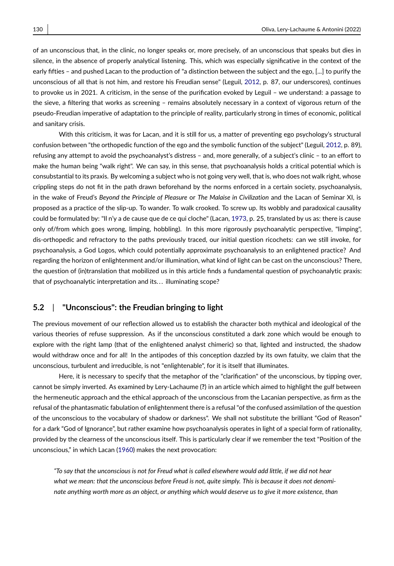of an unconscious that, in the clinic, no longer speaks or, more precisely, of an unconscious that speaks but dies in silence, in the absence of properly analytical listening. This, which was especially significative in the context of the early fifties – and pushed Lacan to the production of "a distinction between the subject and the ego, [...] to purify the unconscious of all that is not him, and restore his Freudian sense" (Leguil, [2012,](#page-12-15) p. 87, our underscores), continues to provoke us in 2021. A criticism, in the sense of the purification evoked by Leguil – we understand: a passage to the sieve, a filtering that works as screening – remains absolutely necessary in a context of vigorous return of the pseudo-Freudian imperative of adaptation to the principle of reality, particularly strong in times of economic, political and sanitary crisis.

With this criticism, it was for Lacan, and it is still for us, a matter of preventing ego psychology's structural confusion between "the orthopedic function of the ego and the symbolic function of the subject" (Leguil, [2012,](#page-12-15) p. 89), refusing any attempt to avoid the psychoanalyst's distress – and, more generally, of a subject's clinic – to an effort to make the human being "walk right". We can say, in this sense, that psychoanalysis holds a critical potential which is consubstantial to its praxis. By welcoming a subject who is not going very well, that is, who does not walk right, whose crippling steps do not fit in the path drawn beforehand by the norms enforced in a certain society, psychoanalysis, in the wake of Freud's *Beyond the Principle of Pleasure* or *The Malaise in Civilization* and the Lacan of Seminar XI, is proposed as a practice of the slip-up. To wander. To walk crooked. To screw up. Its wobbly and paradoxical causality could be formulated by: "Il n'y a de cause que de ce qui cloche" (Lacan, [1973,](#page-12-17) p. 25, translated by us as: there is cause only of/from which goes wrong, limping, hobbling). In this more rigorously psychoanalytic perspective, "limping", dis-orthopedic and refractory to the paths previously traced, our initial question ricochets: can we still invoke, for psychoanalysis, a God Logos, which could potentially approximate psychoanalysis to an enlightened practice? And regarding the horizon of enlightenment and/or illumination, what kind of light can be cast on the unconscious? There, the question of (in)translation that mobilized us in this article finds a fundamental question of psychoanalytic praxis: that of psychoanalytic interpretation and its. . . illuminating scope?

## **5.2** | **"Unconscious": the Freudian bringing to light**

The previous movement of our reflection allowed us to establish the character both mythical and ideological of the various theories of refuse suppression. As if the unconscious constituted a dark zone which would be enough to explore with the right lamp (that of the enlightened analyst chimeric) so that, lighted and instructed, the shadow would withdraw once and for all! In the antipodes of this conception dazzled by its own fatuity, we claim that the unconscious, turbulent and irreducible, is not "enlightenable", for it is itself that illuminates.

Here, it is necessary to specify that the metaphor of the "clarification" of the unconscious, by tipping over, cannot be simply inverted. As examined by Lery-Lachaume (**?**) in an article which aimed to highlight the gulf between the hermeneutic approach and the ethical approach of the unconscious from the Lacanian perspective, as firm as the refusal of the phantasmatic fabulation of enlightenment there is a refusal "of the confused assimilation of the question of the unconscious to the vocabulary of shadow or darkness". We shall not substitute the brilliant "God of Reason" for a dark "God of Ignorance", but rather examine how psychoanalysis operates in light of a special form of rationality, provided by the clearness of the unconscious itself. This is particularly clear if we remember the text "Position of the unconscious," in which Lacan [\(1960\)](#page-12-18) makes the next provocation:

*"To say that the unconscious is not for Freud what is called elsewhere would add little, if we did not hear what we mean: that the unconscious before Freud is not, quite simply. This is because it does not denominate anything worth more as an object, or anything which would deserve us to give it more existence, than*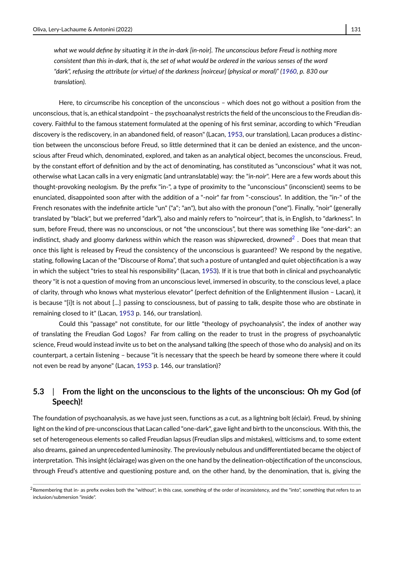*what we would define by situating it in the in-dark [in-noir]. The unconscious before Freud is nothing more consistent than this in-dark, that is, the set of what would be ordered in the various senses of the word "dark", refusing the attribute (or virtue) of the darkness [noirceur] (physical or moral)" [\(1960,](#page-12-18) p. 830 our translation).*

Here, to circumscribe his conception of the unconscious – which does not go without a position from the unconscious, that is, an ethical standpoint – the psychoanalyst restricts the field of the unconscious to the Freudian discovery. Faithful to the famous statement formulated at the opening of his first seminar, according to which "Freudian discovery is the rediscovery, in an abandoned field, of reason" (Lacan, [1953,](#page-11-7) our translation), Lacan produces a distinction between the unconscious before Freud, so little determined that it can be denied an existence, and the unconscious after Freud which, denominated, explored, and taken as an analytical object, becomes the unconscious. Freud, by the constant effort of definition and by the act of denominating, has constituted as "unconscious" what it was not, otherwise what Lacan calls in a very enigmatic (and untranslatable) way: the "*in-noir*". Here are a few words about this thought-provoking neologism. By the prefix "in-", a type of proximity to the "unconscious" (inconscient) seems to be enunciated, disappointed soon after with the addition of a "-noir" far from "-conscious". In addition, the "in-" of the French resonates with the indefinite article "un" ("a"; "an"), but also with the pronoun ("one"). Finally, "noir" (generally translated by "black", but we preferred "dark"), also and mainly refers to "noirceur", that is, in English, to "darkness". In sum, before Freud, there was no unconscious, or not "the unconscious", but there was something like "*one-dark*": an indistinct, shady and gloomy darkness within which the reason was shipwrecked, drowned $^2$  $^2$  . Does that mean that once this light is released by Freud the consistency of the unconscious is guaranteed? We respond by the negative, stating, following Lacan of the "Discourse of Roma", that such a posture of untangled and quiet objectification is a way in which the subject "tries to steal his responsibility" (Lacan, [1953\)](#page-11-7). If it is true that both in clinical and psychoanalytic theory "it is not a question of moving from an unconscious level, immersed in obscurity, to the conscious level, a place of clarity, through who knows what mysterious elevator" (perfect definition of the Enlightenment illusion – Lacan), it is because "[i]t is not about [...] passing to consciousness, but of passing to talk, despite those who are obstinate in remaining closed to it" (Lacan, [1953](#page-11-7) p. 146, our translation).

Could this "passage" not constitute, for our little "theology of psychoanalysis", the index of another way of translating the Freudian God Logos? Far from calling on the reader to trust in the progress of psychoanalytic science, Freud would instead invite us to bet on the analysand talking (the speech of those who do analysis) and on its counterpart, a certain listening – because "it is necessary that the speech be heard by someone there where it could not even be read by anyone" (Lacan, [1953](#page-11-7) p. 146, our translation)?

## **5.3** | **From the light on the unconscious to the lights of the unconscious: Oh my God (of Speech)!**

The foundation of psychoanalysis, as we have just seen, functions as a cut, as a lightning bolt (éclair). Freud, by shining light on the kind of pre-unconscious that Lacan called "one-dark", gave light and birth to the unconscious. With this, the set of heterogeneous elements so called Freudian lapsus (Freudian slips and mistakes), witticisms and, to some extent also dreams, gained an unprecedented luminosity. The previously nebulous and undifferentiated became the object of interpretation. This insight (éclairage) was given on the one hand by the delineation-objectification of the unconscious, through Freud's attentive and questioning posture and, on the other hand, by the denomination, that is, giving the

<span id="page-9-0"></span><sup>&</sup>lt;sup>2</sup> Remembering that in- as prefix evokes both the "without", in this case, something of the order of inconsistency, and the "into", something that refers to an inclusion/submersion "inside".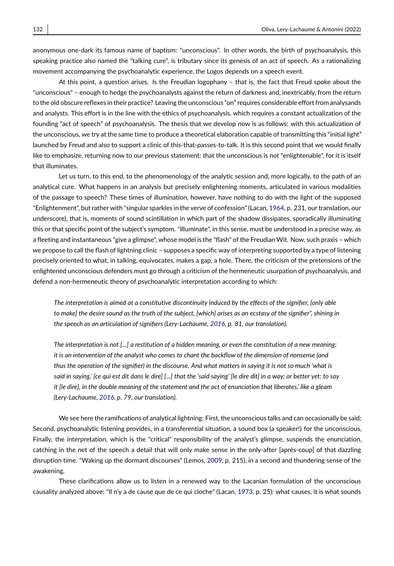anonymous one-dark its famous name of baptism: "unconscious". In other words, the birth of psychoanalysis, this speaking practice also named the "talking cure", is tributary since its genesis of an act of speech. As a rationalizing movement accompanying the psychoanalytic experience, the Logos depends on a speech event.

At this point, a question arises. Is the Freudian logophany – that is, the fact that Freud spoke about the "unconscious" – enough to hedge the psychoanalysts against the return of darkness and, inextricably, from the return to the old obscure reflexes in their practice? Leaving the unconscious "on" requires considerable effort from analysands and analysts. This effort is in the line with the ethics of psychoanalysis, which requires a constant actualization of the founding "act of speech" of psychoanalysis. The thesis that we develop now is as follows: with this actualization of the unconscious, we try at the same time to produce a theoretical elaboration capable of transmitting this "initial light" launched by Freud and also to support a clinic of this-that-passes-to-talk. It is this second point that we would finally like to emphasize, returning now to our previous statement: that the unconscious is not "enlightenable", for it is itself that illuminates.

Let us turn, to this end, to the phenomenology of the analytic session and, more logically, to the path of an analytical cure. What happens in an analysis but precisely enlightening moments, articulated in various modalities of the passage to speech? These times of illumination, however, have nothing to do with the light of the supposed "Enlightenment", but rather with "singular sparkles in the verve of confession" (Lacan, [1964,](#page-12-19) p. 231, our translation, our underscore), that is, moments of sound scintillation in which part of the shadow dissipates, sporadically illuminating this or that specific point of the subject's symptom. "Illuminate", in this sense, must be understood in a precise way, as a fleeting and instantaneous "give a glimpse", whose model is the "flash" of the Freudian Wit. Now, such praxis – which we propose to call the flash of lightning clinic – supposes a specific way of interpreting supported by a type of listening precisely oriented to what, in talking, equivocates, makes a gap, a hole. There, the criticism of the pretensions of the enlightened unconscious defenders must go through a criticism of the hermeneutic usurpation of psychoanalysis, and defend a non-hermeneutic theory of psychoanalytic interpretation according to which:

*The interpretation is aimed at a constitutive discontinuity induced by the effects of the signifier, [only able to make] the desire sound as the truth of the subject, [which] arises as an ecstasy of the signifier", shining in the speech as an articulation of signifiers (Lery-Lachaume, [2016,](#page-12-20) p. 81, our translation).*

*The interpretation is not [...] a restitution of a hidden meaning, or even the constitution of a new meaning; it is an intervention of the analyst who comes to chant the backflow of the dimension of nonsense (and thus the operation of the signifier) in the discourse. And what matters in saying it is not so much 'what is said in saying,' [ce qui est dit dans le dire] [...] that the 'said saying' [le dire dit] in a way; or better yet: to say it [le dire], in the double meaning of the statement and the act of enunciation that liberates,' like a gleam (Lery-Lachaume, [2016,](#page-12-20) p. 79, our translation).*

We see here the ramifications of analytical lightning: First, the unconscious talks and can occasionally be said; Second, psychoanalytic listening provides, in a transferential situation, a sound box (a speaker!) for the unconscious, Finally, the interpretation, which is the "critical" responsibility of the analyst's glimpse, suspends the enunciation, catching in the net of the speech a detail that will only make sense in the only-after [après-coup] of that dazzling disruption time. "Waking up the dormant discourses" (Lemos, [2009,](#page-12-16) p. 215), in a second and thundering sense of the awakening.

These clarifications allow us to listen in a renewed way to the Lacanian formulation of the unconscious causality analyzed above: "Il n'y a de cause que de ce qui cloche" (Lacan, [1973,](#page-12-17) p. 25): what causes, it is what sounds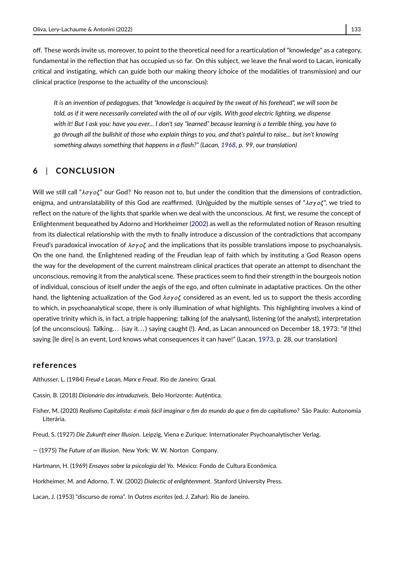off. These words invite us, moreover, to point to the theoretical need for a rearticulation of "knowledge" as a category, fundamental in the reflection that has occupied us so far. On this subject, we leave the final word to Lacan, ironically critical and instigating, which can guide both our making theory (choice of the modalities of transmission) and our clinical practice (response to the actuality of the unconscious):

*It is an invention of pedagogues, that "knowledge is acquired by the sweat of his forehead", we will soon be told, as if it were necessarily correlated with the oil of our vigils. With good electric lighting, we dispense with it! But I ask you: have you ever... I don't say "learned" because learning is a terrible thing, you have to go through all the bullshit of those who explain things to you, and that's painful to raise... but isn't knowing something always something that happens in a flash?" (Lacan, [1968,](#page-12-21) p. 99, our translation)*

## **6** | **CONCLUSION**

Will we still call " $\lambda \sigma$ yoζ" our God? No reason not to, but under the condition that the dimensions of contradiction, enigma, and untranslatability of this God are reaffirmed. (Un)guided by the multiple senses of "λσγοζ", we tried to reflect on the nature of the lights that sparkle when we deal with the unconscious. At first, we resume the concept of Enlightenment bequeathed by Adorno and Horkheimer [\(2002\)](#page-11-1) as well as the reformulated notion of Reason resulting from its dialectical relationship with the myth to finally introduce a discussion of the contradictions that accompany Freud's paradoxical invocation of  $\lambda \sigma y \sigma \zeta$  and the implications that its possible translations impose to psychoanalysis. On the one hand, the Enlightened reading of the Freudian leap of faith which by instituting a God Reason opens the way for the development of the current mainstream clinical practices that operate an attempt to disenchant the unconscious, removing it from the analytical scene. These practices seem to find their strength in the bourgeois notion of individual, conscious of itself under the aegis of the ego, and often culminate in adaptative practices. On the other hand, the lightening actualization of the God  $\lambda \sigma \gamma o \zeta$  considered as an event, led us to support the thesis according to which, in psychoanalytical scope, there is only illumination of what highlights. This highlighting involves a kind of operative trinity which is, in fact, a triple happening: talking (of the analysant), listening (of the analyst), interpretation (of the unconscious). Talking... (say it...) saying caught (!). And, as Lacan announced on December 18, 1973: "if (the) saying [le dire] is an event, Lord knows what consequences it can have!" (Lacan, [1973,](#page-12-17) p. 28, our translation)

#### **references**

<span id="page-11-6"></span>Althusser, L. (1984) *Freud e Lacan, Marx e Freud*. Rio de Janeiro: Graal.

- <span id="page-11-3"></span>Cassin, B. (2018) *Dicionário dos intraduzíveis*. Belo Horizonte: Autêntica.
- <span id="page-11-5"></span>Fisher, M. (2020) *Realismo Capitalista: é mais fácil imaginar o fim do mundo do que o fim do capitalismo?* São Paulo: Autonomia Literária.
- <span id="page-11-0"></span>Freud, S. (1927) *Die Zukunft einer Illusion*. Leipzig, Viena e Zurique: Internationaler Psychoanalytischer Verlag.
- <span id="page-11-2"></span>— (1975) *The Future of an Illusion*. New York: W. W. Norton Company.
- <span id="page-11-4"></span>Hartmann, H. (1969) *Ensayos sobre la psicología del Yo*. México: Fondo de Cultura Econômica.
- <span id="page-11-1"></span>Horkheimer, M. and Adorno, T. W. (2002) *Dialectic of enlightenment*. Stanford University Press.
- <span id="page-11-7"></span>Lacan, J. (1953) "discurso de roma". In *Outros escritos* (ed. J. Zahar). Rio de Janeiro.